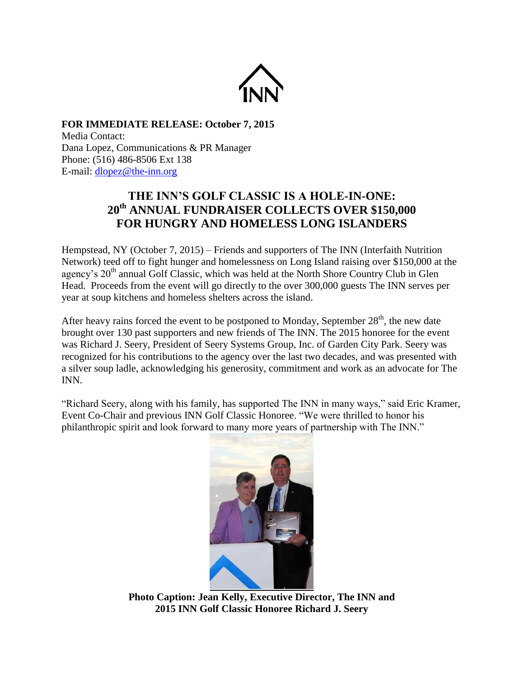

**FOR IMMEDIATE RELEASE: October 7, 2015** Media Contact: Dana Lopez, Communications & PR Manager Phone: (516) 486-8506 Ext 138 E-mail: [dlopez@the-inn.org](mailto:dlopez@the-inn.org)

## **THE INN'S GOLF CLASSIC IS A HOLE-IN-ONE: 20th ANNUAL FUNDRAISER COLLECTS OVER \$150,000 FOR HUNGRY AND HOMELESS LONG ISLANDERS**

Hempstead, NY (October 7, 2015) – Friends and supporters of The INN (Interfaith Nutrition Network) teed off to fight hunger and homelessness on Long Island raising over \$150,000 at the agency's  $20<sup>th</sup>$  annual Golf Classic, which was held at the North Shore Country Club in Glen Head. Proceeds from the event will go directly to the over 300,000 guests The INN serves per year at soup kitchens and homeless shelters across the island.

After heavy rains forced the event to be postponed to Monday, September  $28<sup>th</sup>$ , the new date brought over 130 past supporters and new friends of The INN. The 2015 honoree for the event was Richard J. Seery, President of Seery Systems Group, Inc. of Garden City Park. Seery was recognized for his contributions to the agency over the last two decades, and was presented with a silver soup ladle, acknowledging his generosity, commitment and work as an advocate for The INN.

"Richard Seery, along with his family, has supported The INN in many ways," said Eric Kramer, Event Co-Chair and previous INN Golf Classic Honoree. "We were thrilled to honor his philanthropic spirit and look forward to many more years of partnership with The INN."



**Photo Caption: Jean Kelly, Executive Director, The INN and 2015 INN Golf Classic Honoree Richard J. Seery**